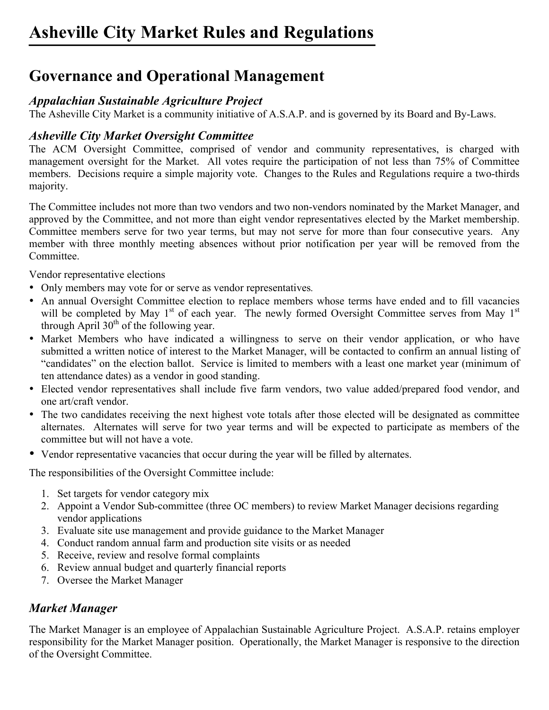## **Governance and Operational Management**

### *Appalachian Sustainable Agriculture Project*

The Asheville City Market is a community initiative of A.S.A.P. and is governed by its Board and By-Laws.

### *Asheville City Market Oversight Committee*

The ACM Oversight Committee, comprised of vendor and community representatives, is charged with management oversight for the Market. All votes require the participation of not less than 75% of Committee members. Decisions require a simple majority vote. Changes to the Rules and Regulations require a two-thirds majority.

The Committee includes not more than two vendors and two non-vendors nominated by the Market Manager, and approved by the Committee, and not more than eight vendor representatives elected by the Market membership. Committee members serve for two year terms, but may not serve for more than four consecutive years. Any member with three monthly meeting absences without prior notification per year will be removed from the Committee.

Vendor representative elections

- Only members may vote for or serve as vendor representatives*.*
- An annual Oversight Committee election to replace members whose terms have ended and to fill vacancies will be completed by May  $1<sup>st</sup>$  of each year. The newly formed Oversight Committee serves from May  $1<sup>st</sup>$ through April  $30<sup>th</sup>$  of the following year.
- Market Members who have indicated a willingness to serve on their vendor application, or who have submitted a written notice of interest to the Market Manager, will be contacted to confirm an annual listing of "candidates" on the election ballot. Service is limited to members with a least one market year (minimum of ten attendance dates) as a vendor in good standing.
- Elected vendor representatives shall include five farm vendors, two value added/prepared food vendor, and one art/craft vendor.
- The two candidates receiving the next highest vote totals after those elected will be designated as committee alternates. Alternates will serve for two year terms and will be expected to participate as members of the committee but will not have a vote.
- Vendor representative vacancies that occur during the year will be filled by alternates.

The responsibilities of the Oversight Committee include:

- 1. Set targets for vendor category mix
- 2. Appoint a Vendor Sub-committee (three OC members) to review Market Manager decisions regarding vendor applications
- 3. Evaluate site use management and provide guidance to the Market Manager
- 4. Conduct random annual farm and production site visits or as needed
- 5. Receive, review and resolve formal complaints
- 6. Review annual budget and quarterly financial reports
- 7. Oversee the Market Manager

### *Market Manager*

The Market Manager is an employee of Appalachian Sustainable Agriculture Project. A.S.A.P. retains employer responsibility for the Market Manager position. Operationally, the Market Manager is responsive to the direction of the Oversight Committee.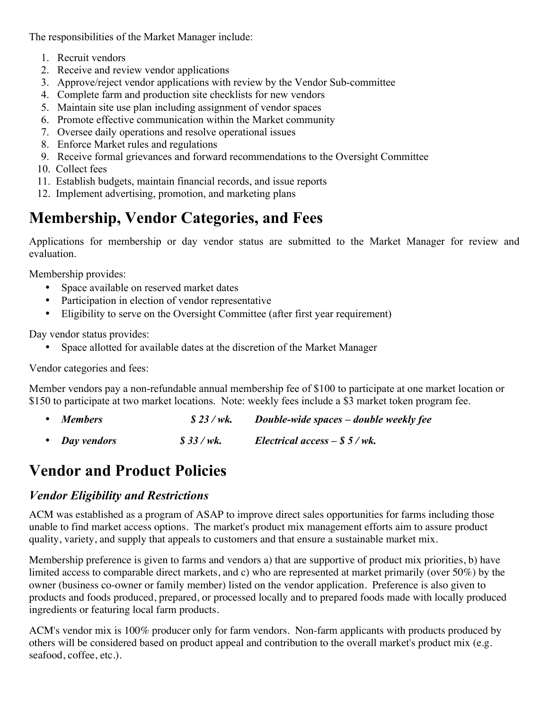The responsibilities of the Market Manager include:

- 1. Recruit vendors
- 2. Receive and review vendor applications
- 3. Approve/reject vendor applications with review by the Vendor Sub-committee
- 4. Complete farm and production site checklists for new vendors
- 5. Maintain site use plan including assignment of vendor spaces
- 6. Promote effective communication within the Market community
- 7. Oversee daily operations and resolve operational issues
- 8. Enforce Market rules and regulations
- 9. Receive formal grievances and forward recommendations to the Oversight Committee
- 10. Collect fees
- 11. Establish budgets, maintain financial records, and issue reports
- 12. Implement advertising, promotion, and marketing plans

# **Membership, Vendor Categories, and Fees**

Applications for membership or day vendor status are submitted to the Market Manager for review and evaluation.

Membership provides:

- Space available on reserved market dates
- Participation in election of vendor representative
- Eligibility to serve on the Oversight Committee (after first year requirement)

Day vendor status provides:

• Space allotted for available dates at the discretion of the Market Manager

Vendor categories and fees:

Member vendors pay a non-refundable annual membership fee of \$100 to participate at one market location or \$150 to participate at two market locations. Note: weekly fees include a \$3 market token program fee.

- *Members \$ 23 / wk. Double-wide spaces – double weekly fee*
- *Day vendors \$ 33 / wk. Electrical access – \$ 5 / wk.*

## **Vendor and Product Policies**

#### *Vendor Eligibility and Restrictions*

ACM was established as a program of ASAP to improve direct sales opportunities for farms including those unable to find market access options. The market's product mix management efforts aim to assure product quality, variety, and supply that appeals to customers and that ensure a sustainable market mix.

Membership preference is given to farms and vendors a) that are supportive of product mix priorities, b) have limited access to comparable direct markets, and c) who are represented at market primarily (over 50%) by the owner (business co-owner or family member) listed on the vendor application. Preference is also given to products and foods produced, prepared, or processed locally and to prepared foods made with locally produced ingredients or featuring local farm products.

ACM's vendor mix is 100% producer only for farm vendors. Non-farm applicants with products produced by others will be considered based on product appeal and contribution to the overall market's product mix (e.g. seafood, coffee, etc.).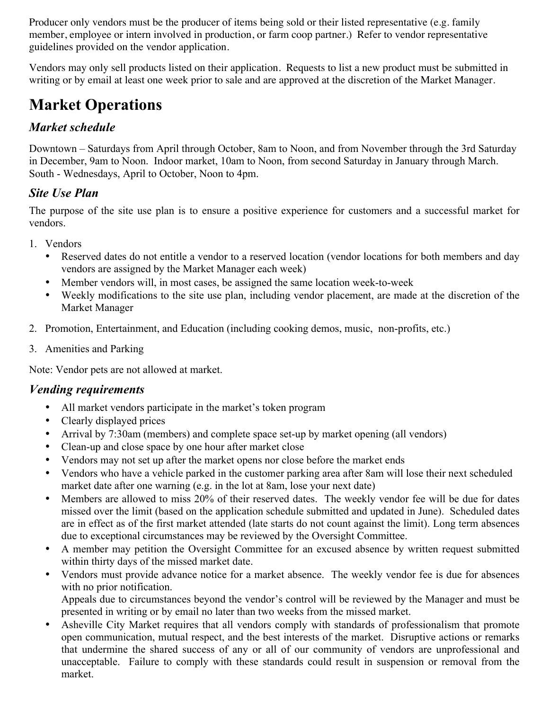Producer only vendors must be the producer of items being sold or their listed representative (e.g. family member, employee or intern involved in production, or farm coop partner.) Refer to vendor representative guidelines provided on the vendor application.

Vendors may only sell products listed on their application. Requests to list a new product must be submitted in writing or by email at least one week prior to sale and are approved at the discretion of the Market Manager.

# **Market Operations**

### *Market schedule*

Downtown – Saturdays from April through October, 8am to Noon, and from November through the 3rd Saturday in December, 9am to Noon. Indoor market, 10am to Noon, from second Saturday in January through March. South - Wednesdays, April to October, Noon to 4pm.

### *Site Use Plan*

The purpose of the site use plan is to ensure a positive experience for customers and a successful market for vendors.

- 1. Vendors
	- Reserved dates do not entitle a vendor to a reserved location (vendor locations for both members and day vendors are assigned by the Market Manager each week)
	- Member vendors will, in most cases, be assigned the same location week-to-week
	- Weekly modifications to the site use plan, including vendor placement, are made at the discretion of the Market Manager
- 2. Promotion, Entertainment, and Education (including cooking demos, music, non-profits, etc.)
- 3. Amenities and Parking

Note: Vendor pets are not allowed at market.

#### *Vending requirements*

- All market vendors participate in the market's token program
- Clearly displayed prices
- Arrival by 7:30am (members) and complete space set-up by market opening (all vendors)
- Clean-up and close space by one hour after market close
- Vendors may not set up after the market opens nor close before the market ends
- Vendors who have a vehicle parked in the customer parking area after 8am will lose their next scheduled market date after one warning (e.g. in the lot at 8am, lose your next date)
- Members are allowed to miss 20% of their reserved dates. The weekly vendor fee will be due for dates missed over the limit (based on the application schedule submitted and updated in June). Scheduled dates are in effect as of the first market attended (late starts do not count against the limit). Long term absences due to exceptional circumstances may be reviewed by the Oversight Committee.
- A member may petition the Oversight Committee for an excused absence by written request submitted within thirty days of the missed market date.
- Vendors must provide advance notice for a market absence. The weekly vendor fee is due for absences with no prior notification. Appeals due to circumstances beyond the vendor's control will be reviewed by the Manager and must be

presented in writing or by email no later than two weeks from the missed market.

• Asheville City Market requires that all vendors comply with standards of professionalism that promote open communication, mutual respect, and the best interests of the market. Disruptive actions or remarks that undermine the shared success of any or all of our community of vendors are unprofessional and unacceptable. Failure to comply with these standards could result in suspension or removal from the market.